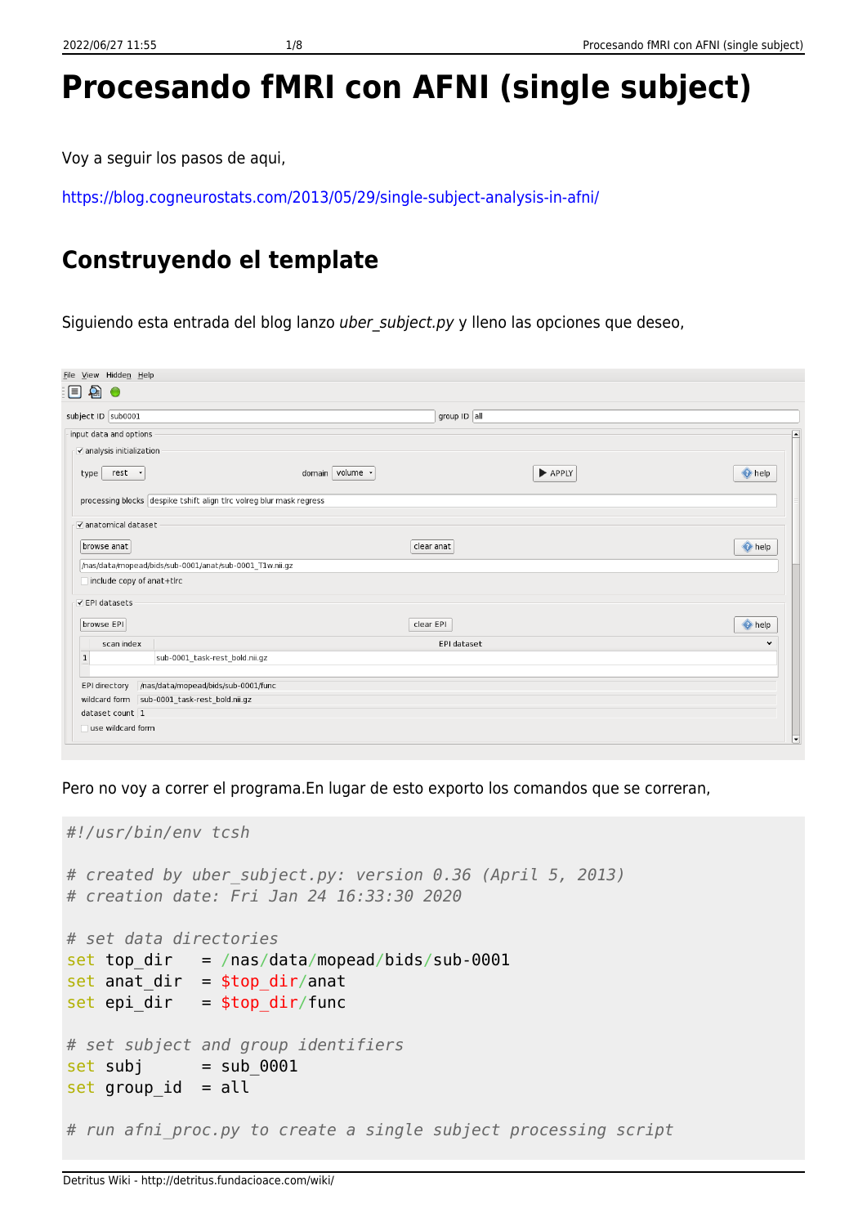# **Procesando fMRI con AFNI (single subject)**

Voy a seguir los pasos de aqui,

<https://blog.cogneurostats.com/2013/05/29/single-subject-analysis-in-afni/>

## **Construyendo el template**

Siguiendo esta entrada del blog lanzo uber subject.py y lleno las opciones que deseo,

| File View Hidden Help                                                |                 |                |                          |
|----------------------------------------------------------------------|-----------------|----------------|--------------------------|
| 目名。                                                                  |                 |                |                          |
| subject ID sub0001                                                   |                 | group $ID$ all |                          |
| input data and options                                               |                 |                | $\blacktriangle$         |
| $\blacktriangledown$ analysis initialization                         |                 |                |                          |
| rest -<br>type                                                       | domain volume - | APPLY          | help help                |
| processing blocks despike tshift align tlrc volreg blur mask regress |                 |                |                          |
| v anatomical dataset                                                 |                 |                |                          |
| browse anat                                                          | clear anat      |                | help help                |
| /nas/data/mopead/bids/sub-0001/anat/sub-0001_T1w.nii.gz              |                 |                |                          |
| include copy of anat+tlrc                                            |                 |                |                          |
| <b>√EPI datasets</b>                                                 |                 |                |                          |
| browse EPI                                                           | clear EPI       |                | help help                |
| scan index                                                           |                 | EPI dataset    | v                        |
| $\mathbf{1}$<br>sub-0001_task-rest_bold.nii.gz                       |                 |                |                          |
| /nas/data/mopead/bids/sub-0001/func<br>EPI directory                 |                 |                |                          |
| wildcard form sub-0001_task-rest_bold.nii.gz                         |                 |                |                          |
| dataset count 1                                                      |                 |                |                          |
| use wildcard form                                                    |                 |                |                          |
|                                                                      |                 |                | $\overline{\phantom{a}}$ |

Pero no voy a correr el programa.En lugar de esto exporto los comandos que se correran,

```
#!/usr/bin/env tcsh
# created by uber_subject.py: version 0.36 (April 5, 2013)
# creation date: Fri Jan 24 16:33:30 2020
# set data directories
set top dir = /nas/data/mopead/bids/sub-0001
set anat_dir = stop_dir/anat
set epi_dir = stop_dir/func
# set subject and group identifiers
set subj = sub 0001set group_id = all# run afni_proc.py to create a single subject processing script
```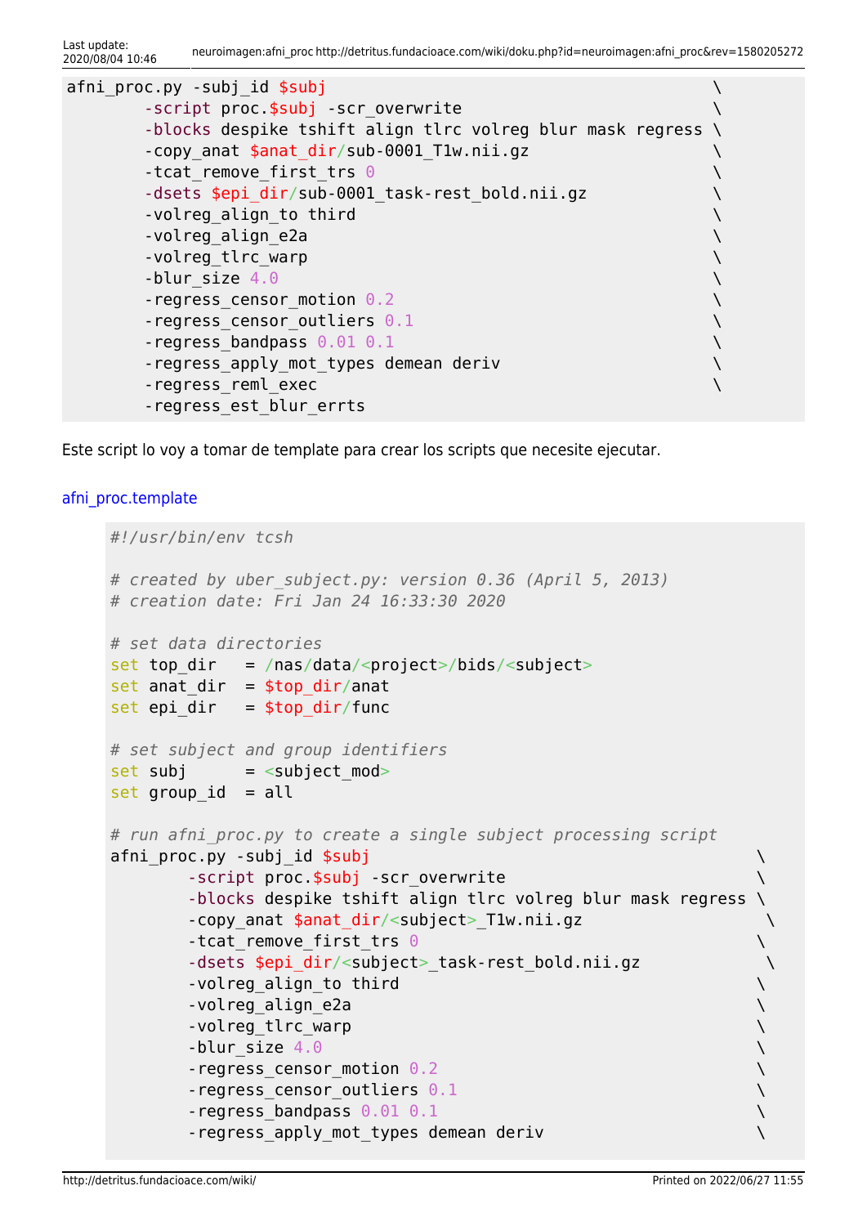Last update:<br>2020/08/04 10:46 2020/08/04 10:46 neuroimagen:afni\_proc http://detritus.fundacioace.com/wiki/doku.php?id=neuroimagen:afni\_proc&rev=1580205272

| afni proc.py -subj id \$subj                                 |  |
|--------------------------------------------------------------|--|
| -script proc.\$subj -scr overwrite                           |  |
| -blocks despike tshift align tlrc volreg blur mask regress \ |  |
| -copy anat \$anat dir/sub-0001 Tlw.nii.gz                    |  |
| -tcat remove first trs $\Theta$                              |  |
| -dsets \$epi dir/sub-0001 task-rest bold.nii.gz              |  |
| -volreg align to third                                       |  |
| -volreg align e2a                                            |  |
| -volreg_tlrc_warp                                            |  |
| -blur size $4.0$                                             |  |
| $-$ regress_censor_motion $0.2$                              |  |
| -regress censor outliers $0.1$                               |  |
| -regress bandpass $0.01$ 0.1                                 |  |
| -regress_apply_mot_types demean deriv                        |  |
| -regress reml exec                                           |  |
| -regress est blur errts                                      |  |

Este script lo voy a tomar de template para crear los scripts que necesite ejecutar.

### afni proc.template

```
#!/usr/bin/env tcsh
# created by uber_subject.py: version 0.36 (April 5, 2013)
# creation date: Fri Jan 24 16:33:30 2020
# set data directories
set top dir = /nas/data/<project>/bids/<subject>
set anat_dir = $top\_dir/anat
set epi_dir = $top dir/func
# set subject and group identifiers
set subj = ltsubject mod>
set group id = all# run afni_proc.py to create a single subject processing script
afni_proc.py -subj_id $subj \setminus -script proc.$subj -scr_overwrite \
       -blocks despike tshift align tlrc volreg blur mask regress \
      -copy anat $anat dir/<subject> T1w.nii.gz
      -tcat remove first trs \theta-dsets $epi dir/<subject> task-rest bold.nii.gz
      -volreg_align_to third \setminus-volreg_align_e2a \setminus-volreg_tlrc_warp \setminus-b \text{l}ur size 4.0 \setminus-regress censor motion 0.2 \rightarrow-regress censor outliers 0.1 \setminus-regress bandpass 0.01 \t0.1 \setminus -regress_apply_mot_types demean deriv \
```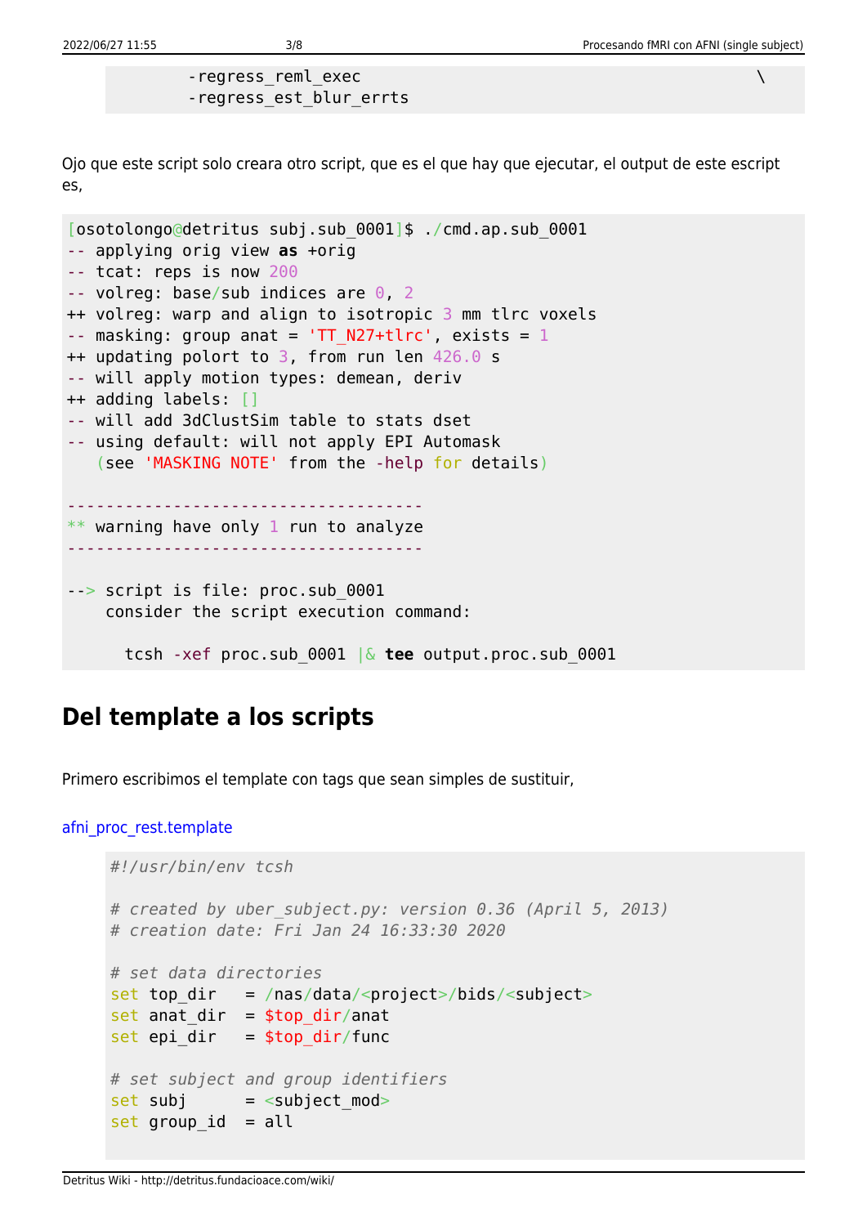-regress\_reml\_exec  $\setminus$ -regress\_est\_blur\_errts

Ojo que este script solo creara otro script, que es el que hay que ejecutar, el output de este escript es,

```
[osotolongo@detritus subj.sub_0001]$ ./cmd.ap.sub_0001
-- applying orig view as +orig
-- tcat: reps is now 200
-- volreg: base/sub indices are \theta, 2
++ volreg: warp and align to isotropic 3 mm tlrc voxels
-- masking: group anat = 'TT_N27+tlrc', exists = 1++ updating polort to 3, from run len 426.0 s
-- will apply motion types: demean, deriv
++ adding labels: []
-- will add 3dClustSim table to stats dset
-- using default: will not apply EPI Automask
    (see 'MASKING NOTE' from the -help for details)
     -------------------------------------
  warning have only 1 run to analyze
-------------------------------------
--> script is file: proc.sub_0001
     consider the script execution command:
       tcsh -xef proc.sub_0001 |& tee output.proc.sub_0001
```
## **Del template a los scripts**

Primero escribimos el template con tags que sean simples de sustituir,

```
afni proc rest.template
```

```
#!/usr/bin/env tcsh
# created by uber_subject.py: version 0.36 (April 5, 2013)
# creation date: Fri Jan 24 16:33:30 2020
# set data directories
set top dir = /nas/data/<project>/bids/<subject>
set anat dir = $top dir/anat
set epi dir = $top dir/func# set subject and group identifiers
set subj = \leqsubject mod>
set group id = all
```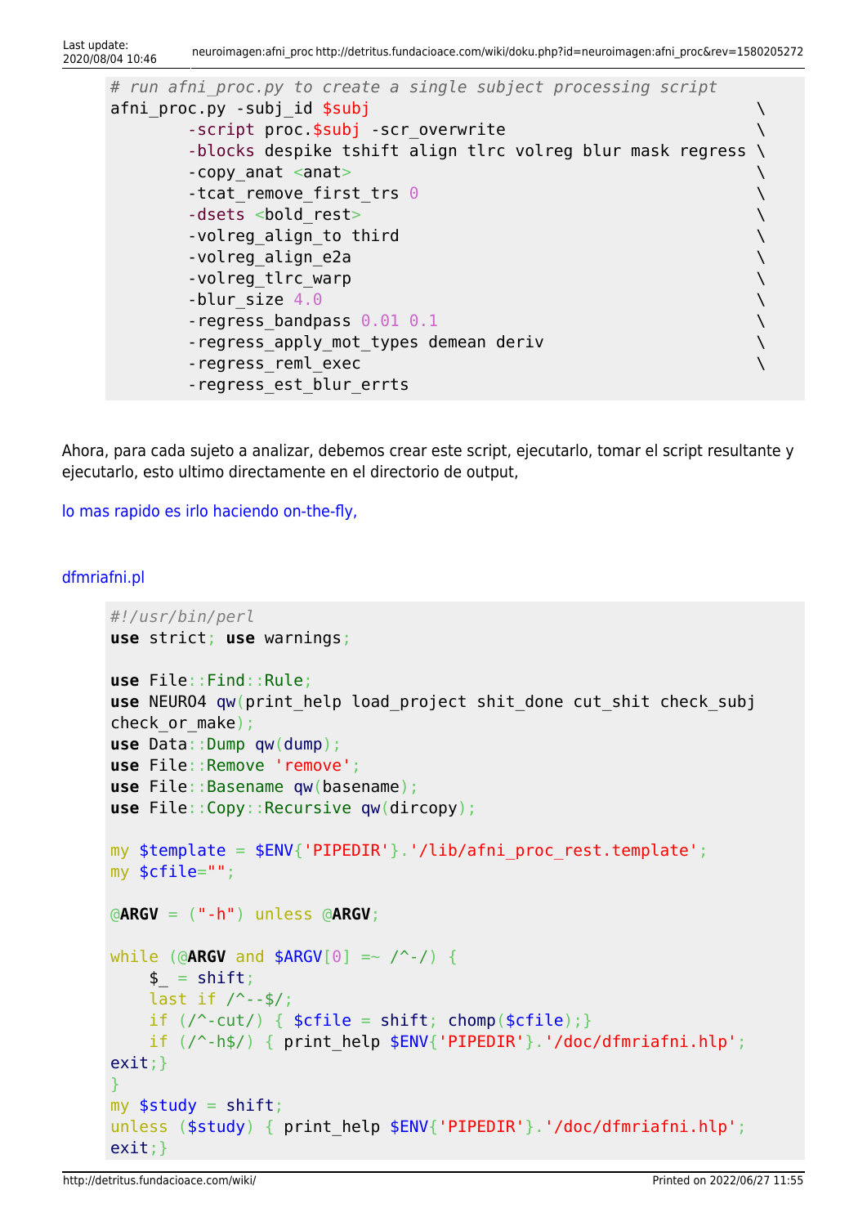```
Last update:<br>2020/08/04 10:46
                            2020/08/04 10:46 neuroimagen:afni_proc http://detritus.fundacioace.com/wiki/doku.php?id=neuroimagen:afni_proc&rev=1580205272
```

```
# run afni_proc.py to create a single subject processing script
afni proc.py -subj id $subj \longrightarrow-script proc.$subj -scr_overwrite \setminus -blocks despike tshift align tlrc volreg blur mask regress \
     -copy_anat <anat> \setminus-tcat remove first trs 0 \longrightarrow-dsets <bold rest> \setminus-volreg_align_to third \setminus-volreg_align_e2a \setminus-volreg_tlrc_warp \setminus-b \text{l}ur size 4.0 \setminus-regress bandpass 0.01 \t0.1 \setminus-regress apply mot types demean deriv and the state of \setminus-regress reml exec \setminus -regress_est_blur_errts
```
Ahora, para cada sujeto a analizar, debemos crear este script, ejecutarlo, tomar el script resultante y ejecutarlo, esto ultimo directamente en el directorio de output,

[lo mas rapido es irlo haciendo on-the-fly,](#page--1-0)

#### [dfmriafni.pl](http://detritus.fundacioace.com/wiki/doku.php?do=export_code&id=neuroimagen:afni_proc&codeblock=4)

```
#!/usr/bin/perl
use strict; use warnings;
use File::Find::Rule;
qw(print help load project shit done cut shit check subj
check or make);
use Data::Dump qw(dump);
use File::Remove 'remove';
use File::Basename qw(basename);
useqw(dircopy);
my $template = $ENV{'PIPEDIR'}.'/lib/afni proc rest.template';
my $cfile="";
@ARGV = ("-h") unless @ARGV;
while (@ARGV and $ARGV[0] =~ /^-/) {
    \betashift;
    last if / --$/;
    if \left(\frac{\ }{\ }cut\right) { shiftchomp($cfile);}if (\frac{\pi}{h} \frac{1}{\pi} \frac{1}{\pi} or int help \frac{1}{\pi}ENV{'PIPEDIR'}.'/doc/dfmriafni.hlp';
exit;}
}
myshift;
unless ($study) { print help $ENV{'PIPEDIR'}.'/doc/dfmriafni.hlp';
exit;}
```
http://detritus.fundacioace.com/wiki/ Printed on 2022/06/27 11:55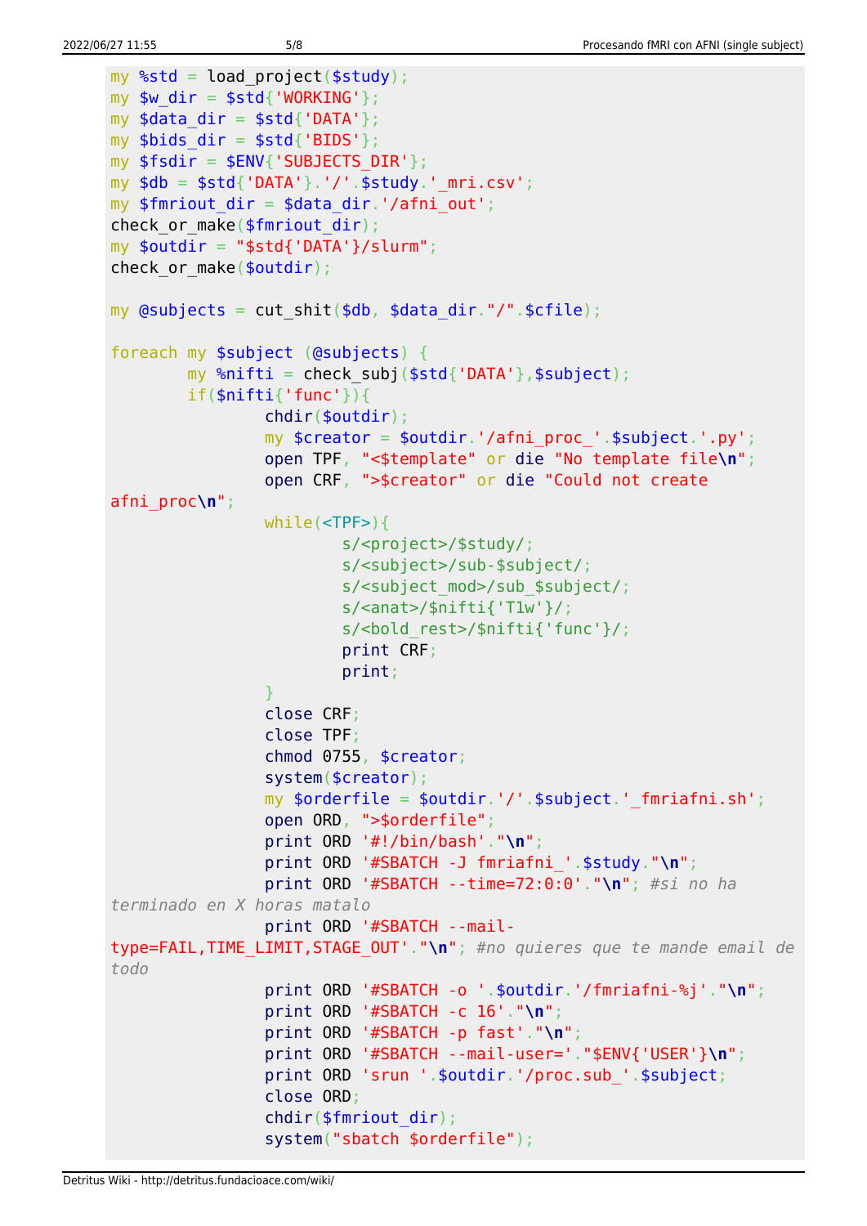```
my %std = load project($study);
my $w dir = $std{'}}'WORKING';
my sdata dir = $std{'}\Delta{T}A'};my $bids dir = $std{'}}'BIDS';
my $fsdir = $ENV{'SUBJECTSDIR'}};my $db = $std{'DATA'}}.'.'/'.$study.' mri.csv';
my $fmriout dir = $data dir.'/afni out';check or make($fmriout dir);
my $outdir = "$std{'DATA'}}/slurm";check or make($outdir);
my \thetasubjects = cut shit($db, $data dir."/".$cfile);
foreach my $subject (@subjects) {
        my %nifti = check subj($std{'DATA'},$subject);
         if($nifti{'func'}){
                  chdir($outdir);
                 my \frac{1}{2} screator = \frac{1}{2}outdir.'/afni proc '.$subject.'.py';
                  open TPF, "<$template" or die "No template file\n";
                  open CRF, ">$creator" or die "Could not create
afni_proc\n";
                  while(<TPF>){
                           s/<project>/$study/;
                          s/<subject>/sub-$subject/;
                          s/<subject_mod>/sub_$subject/;
                          s/<anat>/$nifti{'T1w'}/;
                          s/<bold rest>/$nifti{'func'}/;
                          print CRF;
                          print;
\{x_i\}_{i=1}^n , where \{x_i\}_{i=1}^n close CRF;
                  close TPF;
                  chmod 0755, $creator;
                  system($creator);
                 my \gamma sorderfile = \gamma soutdir.'/'.$subject.' fmriafni.sh';
                  open ORD, ">$orderfile";
                  print ORD '#!/bin/bash'."\n";
                  print ORD '#SBATCH -J fmriafni_'.$study."\n";
                  print ORD '#SBATCH --time=72:0:0'."\n"; #si no ha
terminado en X horas matalo
                  print ORD '#SBATCH --mail-
type=FAIL,TIME_LIMIT,STAGE_OUT'."\n"; #no quieres que te mande email de
todo
                  print ORD '#SBATCH -o '.$outdir.'/fmriafni-%j'."\n";
                  print ORD '#SBATCH -c 16'."\n";
                  print ORD '#SBATCH -p fast'."\n";
                  print ORD '#SBATCH --mail-user='."$ENV{'USER'}\n";
                  print ORD 'srun '.$outdir.'/proc.sub_'.$subject;
                  close ORD;
                  chdir($fmriout_dir);
                  system("sbatch $orderfile");
```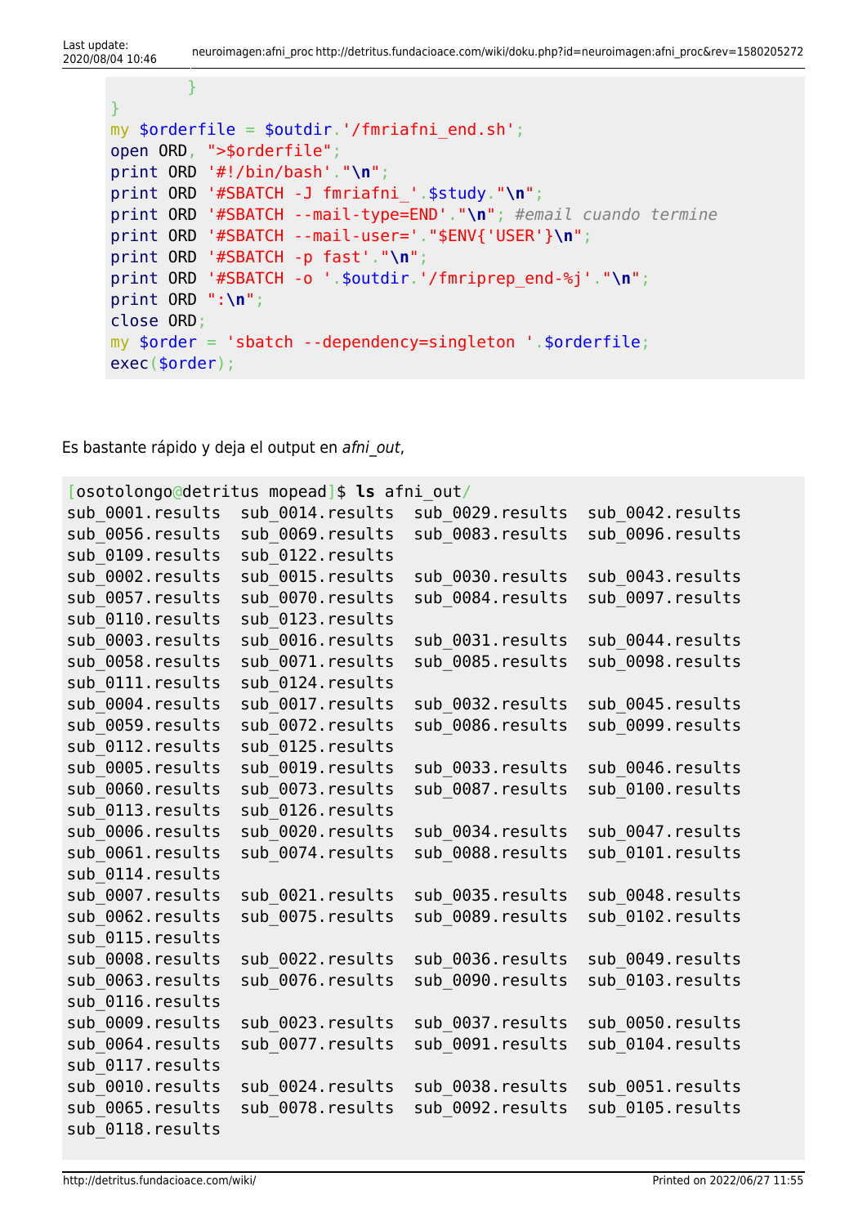```
}
my $orderfile = $outdir.'/fmriafni_end.sh';
open ORD, ">$orderfile";
print ORD '#!/bin/bash'."\n";
print ORD '#SBATCH -J fmriafni_'.$study."\n";
print ORD '#SBATCH --mail-type=END'."\n"; #email cuando termine
print ORD '#SBATCH --mail-user='."$ENV{'USER'}\n";
print ORD '#SBATCH -p fast'."\n";
print ORD '#SBATCH -o '.$outdir.'/fmriprep_end-%j'."\n";
print ORD ":\n";
close ORD;
my $order = 'sbatch --dependency=singleton '.$orderfile;
exec($order);
```
Es bastante rápido y deja el output en afni out,

}

| osotolongo@detritus mopead]\$ ls afni out/ |                   |                   |                   |  |  |
|--------------------------------------------|-------------------|-------------------|-------------------|--|--|
| sub 0001.results                           | sub 0014. results | sub 0029.results  | sub 0042.results  |  |  |
| sub 0056.results                           | sub 0069.results  | sub 0083.results  | sub 0096.results  |  |  |
| sub 0109.results                           | sub 0122. results |                   |                   |  |  |
| sub 0002.results                           | sub 0015. results | sub 0030.results  | sub 0043.results  |  |  |
| sub 0057.results                           | sub 0070.results  | sub 0084.results  | sub 0097.results  |  |  |
| sub 0110.results                           | sub 0123. results |                   |                   |  |  |
| sub 0003.results                           | sub 0016.results  | sub 0031.results  | sub 0044.results  |  |  |
| sub 0058.results                           | sub 0071.results  | sub_0085.results  | sub 0098.results  |  |  |
| sub 0111. results                          | sub 0124. results |                   |                   |  |  |
| sub 0004.results                           | sub 0017. results | sub 0032. results | sub 0045.results  |  |  |
| sub 0059.results                           | sub 0072. results | sub 0086.results  | sub 0099.results  |  |  |
| sub 0112. results                          | sub 0125. results |                   |                   |  |  |
| sub 0005.results                           | sub 0019. results | sub 0033.results  | sub 0046.results  |  |  |
| sub 0060.results                           | sub 0073.results  | sub_0087.results  | sub 0100.results  |  |  |
| sub 0113. results                          | sub 0126. results |                   |                   |  |  |
| sub 0006.results                           | sub 0020.results  | sub 0034. results | sub 0047.results  |  |  |
| sub 0061.results                           | sub 0074.results  | sub 0088.results  | sub 0101.results  |  |  |
| sub 0114. results                          |                   |                   |                   |  |  |
| sub 0007.results                           | sub 0021. results | sub 0035.results  | sub 0048.results  |  |  |
| sub 0062.results                           | sub 0075.results  | sub 0089.results  | sub 0102. results |  |  |
| sub 0115. results                          |                   |                   |                   |  |  |
| sub 0008.results                           | sub 0022. results | sub 0036.results  | sub 0049.results  |  |  |
| sub 0063.results                           | sub 0076.results  | sub 0090.results  | sub 0103.results  |  |  |
| sub 0116. results                          |                   |                   |                   |  |  |
| sub 0009.results                           | sub 0023.results  | sub 0037.results  | sub 0050.results  |  |  |
| sub 0064.results                           | sub 0077.results  | sub 0091.results  | sub 0104. results |  |  |
| sub 0117. results                          |                   |                   |                   |  |  |
| sub 0010.results                           | sub 0024. results | sub 0038.results  | sub 0051.results  |  |  |
| sub 0065.results                           | sub 0078.results  | sub_0092.results  | sub 0105.results  |  |  |
| sub 0118. results                          |                   |                   |                   |  |  |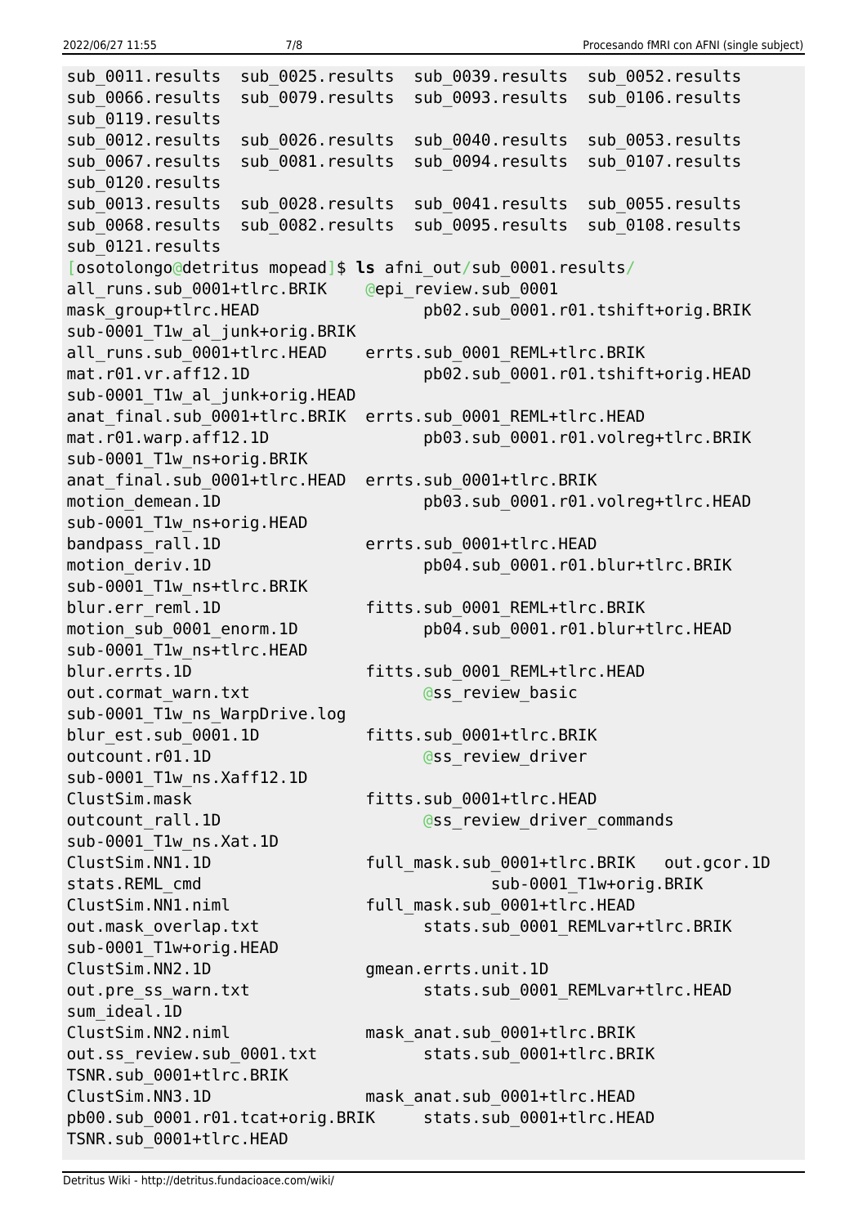sub 0011.results sub 0025.results sub 0039.results sub 0052.results sub 0066.results sub 0079.results sub 0093.results sub 0106.results sub\_0119.results sub 0012.results sub 0026.results sub 0040.results sub 0053.results sub 0067.results sub 0081.results sub 0094.results sub 0107.results sub\_0120.results sub 0013.results sub 0028.results sub 0041.results sub 0055.results sub 0068.results sub 0082.results sub 0095.results sub 0108.results sub\_0121.results [osotolongo@detritus mopead]\$ **ls** afni\_out/sub\_0001.results/ all\_runs.sub\_0001+tlrc.BRIK @epi\_review.sub\_0001 mask group+tlrc.HEAD pb02.sub 0001.r01.tshift+orig.BRIK sub-0001 T1w al junk+orig.BRIK all runs.sub 0001+tlrc.HEAD errts.sub 0001 REML+tlrc.BRIK mat.r01.vr.aff12.1D pb02.sub\_0001.r01.tshift+orig.HEAD sub-0001 T1w al junk+orig.HEAD anat final.sub 0001+tlrc.BRIK errts.sub 0001 REML+tlrc.HEAD mat.r01.warp.aff12.1D pb03.sub\_0001.r01.volreg+tlrc.BRIK sub-0001\_T1w\_ns+orig.BRIK anat final.sub 0001+tlrc.HEAD errts.sub 0001+tlrc.BRIK motion demean.1D pb03.sub 0001.r01.volreg+tlrc.HEAD sub-0001\_T1w\_ns+orig.HEAD bandpass rall.1D errts.sub 0001+tlrc.HEAD motion deriv.1D pb04.sub 0001.r01.blur+tlrc.BRIK sub-0001\_T1w\_ns+tlrc.BRIK blur.err\_reml.1D fitts.sub\_0001\_REML+tlrc.BRIK motion sub 0001 enorm.1D pb04.sub 0001.r01.blur+tlrc.HEAD sub-0001 T1w ns+tlrc.HEAD blur.errts.1D fitts.sub 0001 REML+tlrc.HEAD out.cormat warn.txt @ss\_review\_basic sub-0001 T1w ns WarpDrive.log blur\_est.sub\_0001.1D fitts.sub\_0001+tlrc.BRIK outcount.r01.1D **@ss\_review\_driver** sub-0001\_T1w\_ns.Xaff12.1D ClustSim.mask fitts.sub\_0001+tlrc.HEAD outcount rall.1D and controller the commands outcount rall.1D sub-0001\_T1w\_ns.Xat.1D ClustSim.NN1.1D full\_mask.sub\_0001+tlrc.BRIK out.gcor.1D stats.REML cmd sub-0001 T1w+orig.BRIK ClustSim.NN1.niml full mask.sub 0001+tlrc.HEAD out.mask\_overlap.txt stats.sub\_0001\_REMLvar+tlrc.BRIK sub-0001\_T1w+orig.HEAD ClustSim.NN2.1D gmean.errts.unit.1D out.pre\_ss\_warn.txt stats.sub\_0001\_REMLvar+tlrc.HEAD sum\_ideal.1D ClustSim.NN2.niml mask\_anat.sub\_0001+tlrc.BRIK out.ss\_review.sub\_0001.txt stats.sub\_0001+tlrc.BRIK TSNR.sub\_0001+tlrc.BRIK ClustSim.NN3.1D mask\_anat.sub\_0001+tlrc.HEAD pb00.sub\_0001.r01.tcat+orig.BRIK stats.sub\_0001+tlrc.HEAD TSNR.sub\_0001+tlrc.HEAD